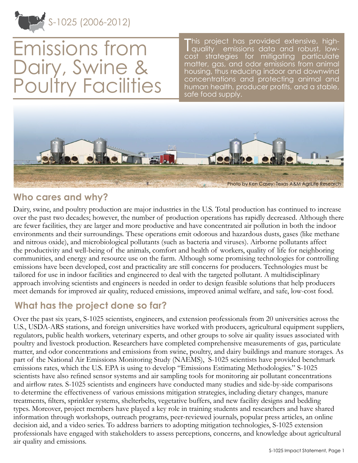

Emissions from Dairy, Swine & Poultry Facilities

This project has provided extensive, high-<br>| quality emissions data and robust, lowquality emissions data and robust, lowcost strategies for mitigating particulate matter, gas, and odor emissions from animal housing, thus reducing indoor and downwind concentrations and protecting animal and human health, producer profits, and a stable, safe food supply.



### **Who cares and why?**

Dairy, swine, and poultry production are major industries in the U.S. Total production has continued to increase over the past two decades; however, the number of production operations has rapidly decreased. Although there are fewer facilities, they are larger and more productive and have concentrated air pollution in both the indoor environments and their surroundings. These operations emit odorous and hazardous dusts, gases (like methane and nitrous oxide), and microbiological pollutants (such as bacteria and viruses). Airborne pollutants affect the productivity and well-being of the animals, comfort and health of workers, quality of life for neighboring communities, and energy and resource use on the farm. Although some promising technologies for controlling emissions have been developed, cost and practicality are still concerns for producers. Technologies must be tailored for use in indoor facilities and engineered to deal with the targeted pollutant. A multidisciplinary approach involving scientists and engineers is needed in order to design feasible solutions that help producers meet demands for improved air quality, reduced emissions, improved animal welfare, and safe, low-cost food.

## **What has the project done so far?**

Over the past six years, S-1025 scientists, engineers, and extension professionals from 20 universities across the U.S., USDA-ARS stations, and foreign universities have worked with producers, agricultural equipment suppliers, regulators, public health workers, veterinary experts, and other groups to solve air quality issues associated with poultry and livestock production. Researchers have completed comprehensive measurements of gas, particulate matter, and odor concentrations and emissions from swine, poultry, and dairy buildings and manure storages. As part of the National Air Emissions Monitoring Study (NAEMS), S-1025 scientists have provided benchmark emissions rates, which the U.S. EPA is using to develop "Emissions Estimating Methodologies." S-1025 scientists have also refined sensor systems and air sampling tools for monitoring air pollutant concentrations and airflow rates. S-1025 scientists and engineers have conducted many studies and side-by-side comparisons to determine the effectiveness of various emissions mitigation strategies, including dietary changes, manure treatments, filters, sprinkler systems, shelterbelts, vegetative buffers, and new facility designs and bedding types. Moreover, project members have played a key role in training students and researchers and have shared information through workshops, outreach programs, peer-reviewed journals, popular press articles, an online decision aid, and a video series. To address barriers to adopting mitigation technologies, S-1025 extension professionals have engaged with stakeholders to assess perceptions, concerns, and knowledge about agricultural air quality and emissions.